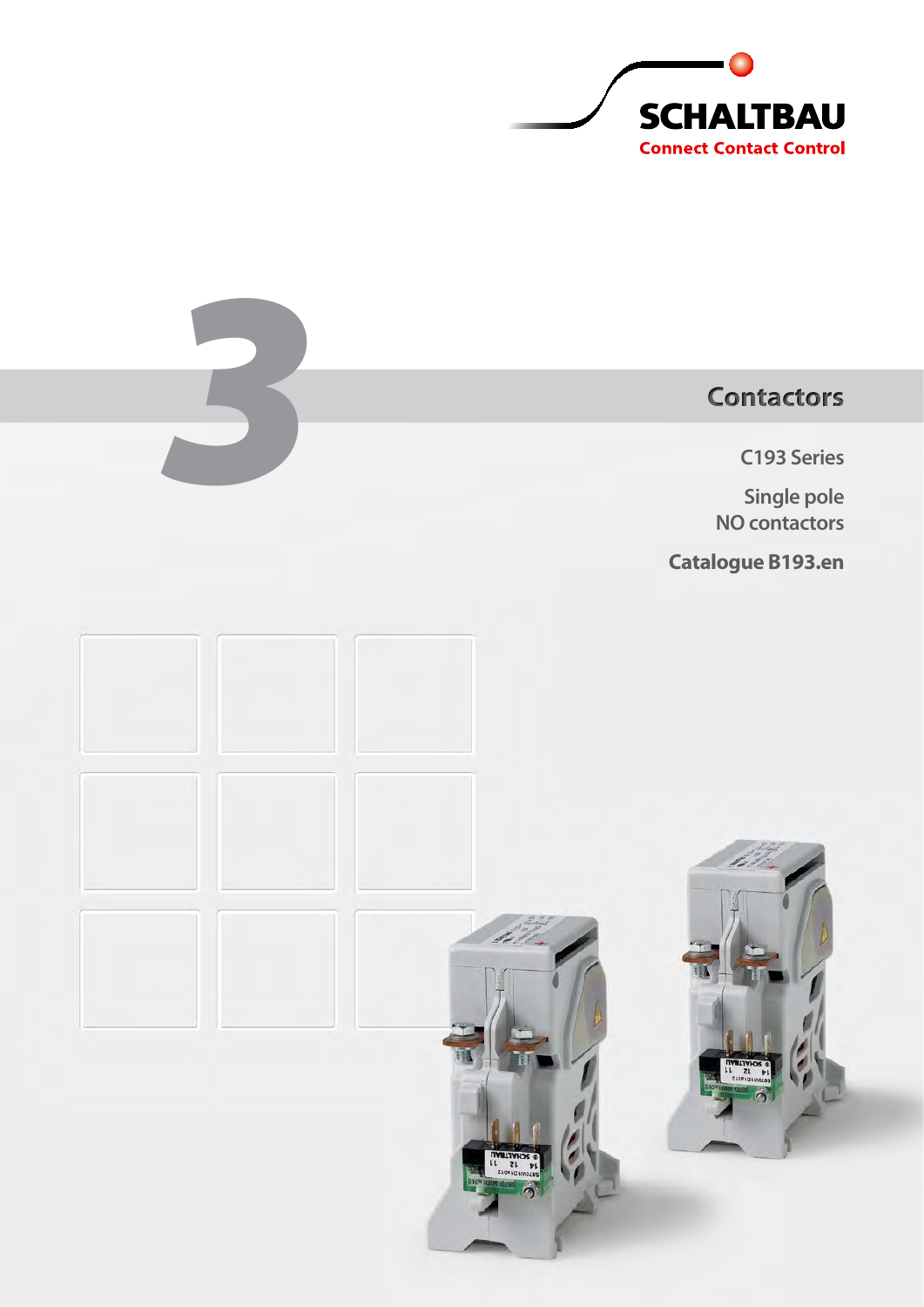

**C193 Series**

Example 2013<br>
3 Series<br>
3 Single pole<br>
3 No contactors<br>
3 No contactors **Single pole NO contactors**

**Catalogue B193.en**

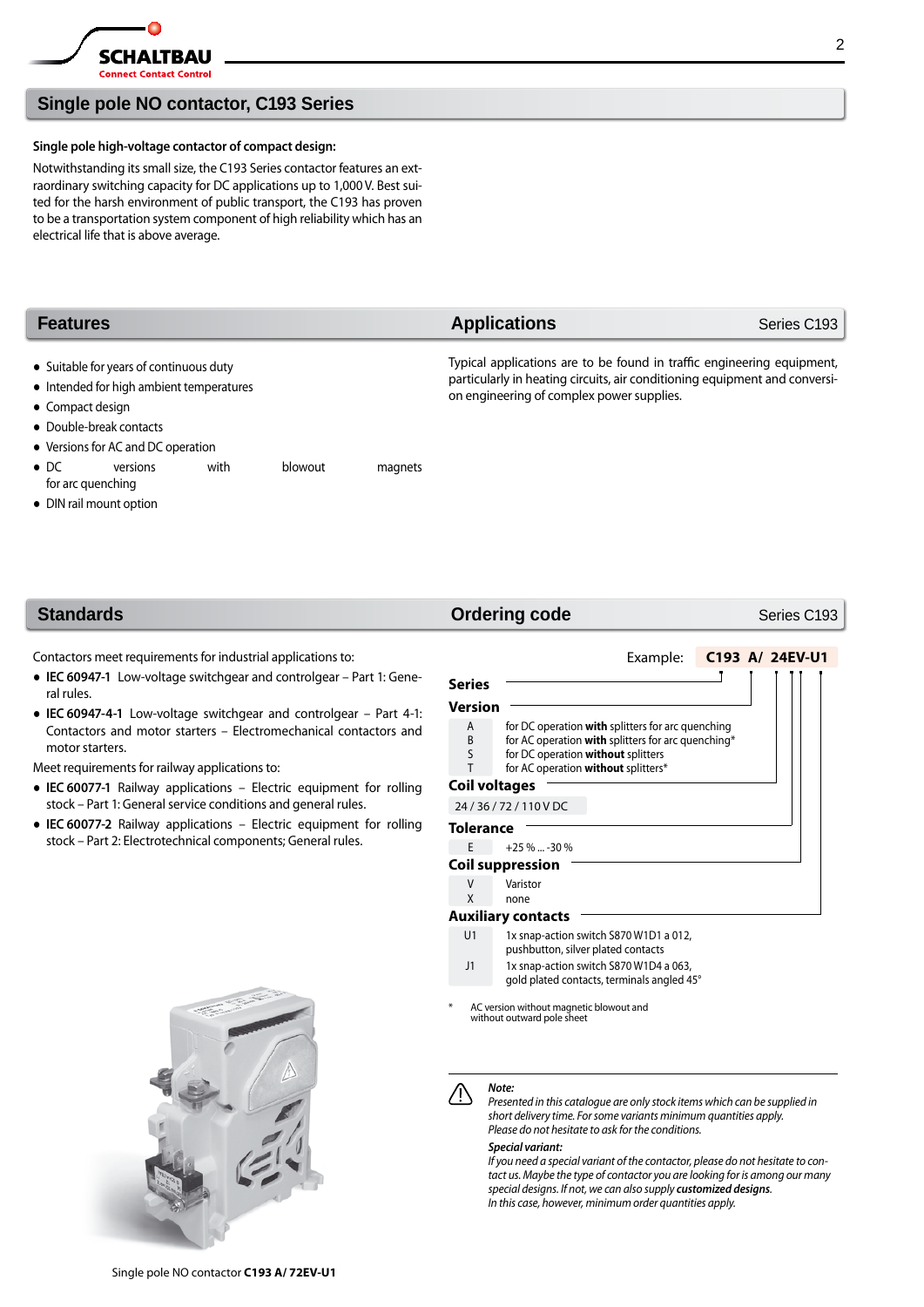

# **Single pole NO contactor, C193 Series**

### **Single pole high-voltage contactor of compact design:**

Notwithstanding its small size, the C193 Series contactor features an extraordinary switching capacity for DC applications up to 1,000 V. Best suited for the harsh environment of public transport, the C193 has proven to be a transportation system component of high reliability which has an electrical life that is above average.

| <b>Features</b>                                                                                                                    | <b>Applications</b>                                                                                                                                                                               | Series C193 |  |  |
|------------------------------------------------------------------------------------------------------------------------------------|---------------------------------------------------------------------------------------------------------------------------------------------------------------------------------------------------|-------------|--|--|
| • Suitable for years of continuous duty<br>• Intended for high ambient temperatures<br>• Compact design<br>• Double-break contacts | Typical applications are to be found in traffic engineering equipment,<br>particularly in heating circuits, air conditioning equipment and conversi-<br>on engineering of complex power supplies. |             |  |  |
| • Versions for AC and DC operation                                                                                                 |                                                                                                                                                                                                   |             |  |  |

- DC versions with blowout magnets for arc quenching
- DIN rail mount option

Contactors meet requirements for industrial applications to:

- **IEC 60947-1** Low-voltage switchgear and controlgear Part 1: General rules.
- **IEC 60947-4-1** Low-voltage switchgear and controlgear Part 4-1: Contactors and motor starters – Electromechanical contactors and motor starters.

Meet requirements for railway applications to:

- **IEC 60077-1** Railway applications Electric equipment for rolling stock – Part 1: General service conditions and general rules.
- **IEC 60077-2** Railway applications Electric equipment for rolling stock – Part 2: Electrotechnical components; General rules.



## **Standards** Standards Series C193

Example: **C193 A/ 24EV-U1**

# **Version**

**Series**

- A for DC operation **with** splitters for arc quenching<br>B for AC operation **with** splitters for arc quenching
- B for AC operation **with** splitters for arc quenching<sup>\*</sup><br>S for DC operation **without** splitters
- for DC operation **without** splitters
- T for AC operation **without** splitters\*

### **Coil voltages** 24 / 36 / 72 / 110 V DC

- **Tolerance**
- E  $+25 \% ... -30 \%$
- **Coil suppression**
- V Varistor<br>X none
- none

### **Auxiliary contacts**

- U1 1x snap-action switch S870 W1D1 a 012, pushbutton, silver plated contacts
- J1 1x snap-action switch S870 W1D4 a 063,
- gold plated contacts, terminals angled 45°

AC version without magnetic blowout and without outward pole sheet

### *Note:*

*Presented in this catalogue are only stock items which can be supplied in short delivery time. For some variants minimum quantities apply. Please do not hesitate to ask for the conditions.*

### *Special variant:*

*If you need a special variant of the contactor, please do not hesitate to contact us. Maybe the type of contactor you are looking for is among our many special designs. If not, we can also supply customized designs. In this case, however, minimum order quantities apply.*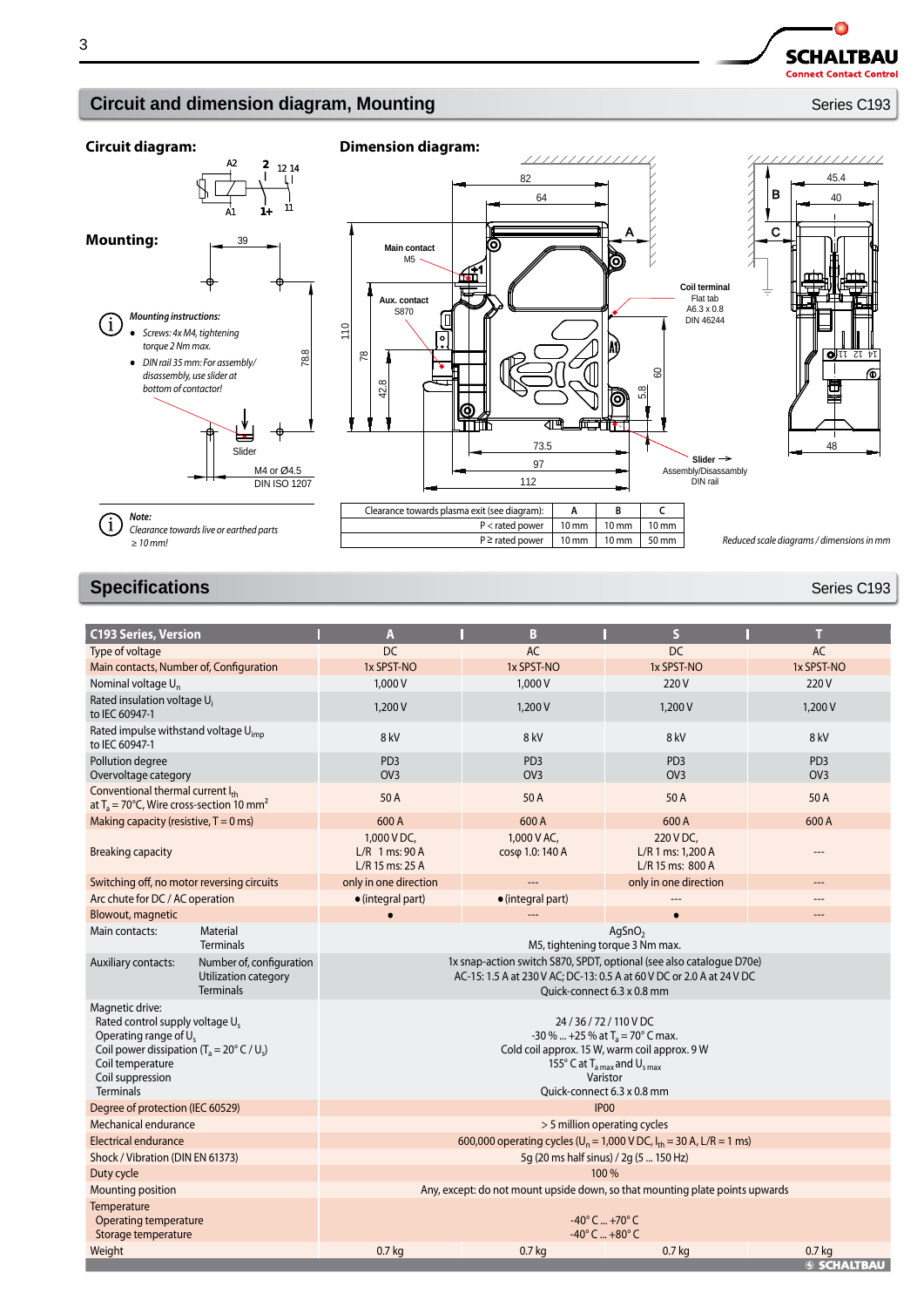**SCHALTBAU Connect Contact Control** 

 $\bullet$ 

# **Circuit and dimension diagram, Mounting** *Circuit and dimension diagram***, Mounting <b>Series C193**





# **Specifications** Series C193

| <b>C193 Series, Version</b>                                                                                                                                                                                                |                                                                      | A                                                                                                                                                                                                                      | B                                  | $\overline{\mathbf{S}}$                            | т                                  |  |
|----------------------------------------------------------------------------------------------------------------------------------------------------------------------------------------------------------------------------|----------------------------------------------------------------------|------------------------------------------------------------------------------------------------------------------------------------------------------------------------------------------------------------------------|------------------------------------|----------------------------------------------------|------------------------------------|--|
| Type of voltage                                                                                                                                                                                                            |                                                                      | DC.                                                                                                                                                                                                                    | <b>AC</b>                          | DC                                                 | <b>AC</b>                          |  |
| Main contacts, Number of, Configuration                                                                                                                                                                                    |                                                                      | 1x SPST-NO                                                                                                                                                                                                             | 1x SPST-NO                         | 1x SPST-NO                                         | 1x SPST-NO                         |  |
| Nominal voltage U <sub>n</sub>                                                                                                                                                                                             |                                                                      | 1,000 V                                                                                                                                                                                                                | 1,000 V                            | 220 V                                              | 220 V                              |  |
| Rated insulation voltage U <sub>i</sub><br>to IEC 60947-1                                                                                                                                                                  |                                                                      | 1,200V                                                                                                                                                                                                                 | 1,200V                             | 1,200 V                                            | 1,200 V                            |  |
| Rated impulse withstand voltage U <sub>imp</sub><br>to IEC 60947-1                                                                                                                                                         |                                                                      | 8 kV                                                                                                                                                                                                                   | 8 kV                               | 8 kV                                               | 8 kV                               |  |
| Pollution degree<br>Overvoltage category                                                                                                                                                                                   |                                                                      | PD <sub>3</sub><br>OV <sub>3</sub>                                                                                                                                                                                     | PD <sub>3</sub><br>O <sub>V3</sub> | PD <sub>3</sub><br>OV <sub>3</sub>                 | PD <sub>3</sub><br>OV <sub>3</sub> |  |
| Conventional thermal current Ith<br>at $T_a = 70^{\circ}$ C, Wire cross-section 10 mm <sup>2</sup>                                                                                                                         |                                                                      | 50 A                                                                                                                                                                                                                   | 50 A                               | 50 A                                               | 50 A                               |  |
| Making capacity (resistive, $T = 0$ ms)                                                                                                                                                                                    |                                                                      | 600 A                                                                                                                                                                                                                  | 600 A                              | 600A                                               | 600 A                              |  |
| <b>Breaking capacity</b>                                                                                                                                                                                                   |                                                                      | 1,000 V DC,<br>$L/R$ 1 ms: 90 A<br>L/R 15 ms: 25 A                                                                                                                                                                     | 1,000 V AC,<br>cosφ 1.0: 140 A     | 220 V DC,<br>L/R 1 ms: 1,200 A<br>L/R 15 ms: 800 A |                                    |  |
| Switching off, no motor reversing circuits                                                                                                                                                                                 |                                                                      | only in one direction                                                                                                                                                                                                  | ---                                | only in one direction                              | ---                                |  |
| Arc chute for DC / AC operation                                                                                                                                                                                            |                                                                      | $\bullet$ (integral part)                                                                                                                                                                                              | $\bullet$ (integral part)          |                                                    |                                    |  |
| Blowout, magnetic                                                                                                                                                                                                          |                                                                      |                                                                                                                                                                                                                        |                                    | $\bullet$                                          | ---                                |  |
| Main contacts:                                                                                                                                                                                                             | Material<br><b>Terminals</b>                                         | AgSnO <sub>2</sub><br>M5, tightening torque 3 Nm max.                                                                                                                                                                  |                                    |                                                    |                                    |  |
| Auxiliary contacts:                                                                                                                                                                                                        | Number of, configuration<br>Utilization category<br><b>Terminals</b> | 1x snap-action switch S870, SPDT, optional (see also catalogue D70e)<br>AC-15: 1.5 A at 230 V AC; DC-13: 0.5 A at 60 V DC or 2.0 A at 24 V DC<br>Ouick-connect 6.3 x 0.8 mm                                            |                                    |                                                    |                                    |  |
| Magnetic drive:<br>Rated control supply voltage U <sub>s</sub><br>Operating range of U <sub>s</sub><br>Coil power dissipation ( $T_a = 20^\circ$ C / U <sub>s</sub> )<br>Coil temperature<br>Coil suppression<br>Terminals |                                                                      | 24/36/72/110 VDC<br>-30 %  +25 % at $T_a = 70^\circ$ C max.<br>Cold coil approx. 15 W, warm coil approx. 9 W<br>155 $\degree$ C at T <sub>a max</sub> and U <sub>s max</sub><br>Varistor<br>Quick-connect 6.3 x 0.8 mm |                                    |                                                    |                                    |  |
| Degree of protection (IEC 60529)                                                                                                                                                                                           |                                                                      | <b>IP00</b>                                                                                                                                                                                                            |                                    |                                                    |                                    |  |
| Mechanical endurance                                                                                                                                                                                                       | > 5 million operating cycles                                         |                                                                                                                                                                                                                        |                                    |                                                    |                                    |  |
| Electrical endurance                                                                                                                                                                                                       |                                                                      | 600,000 operating cycles ( $U_n = 1,000$ V DC, $I_{th} = 30$ A, L/R = 1 ms)                                                                                                                                            |                                    |                                                    |                                    |  |
| Shock / Vibration (DIN EN 61373)                                                                                                                                                                                           |                                                                      | 5q (20 ms half sinus) / 2q (5  150 Hz)                                                                                                                                                                                 |                                    |                                                    |                                    |  |
| Duty cycle                                                                                                                                                                                                                 |                                                                      | 100 %                                                                                                                                                                                                                  |                                    |                                                    |                                    |  |
| Mounting position                                                                                                                                                                                                          |                                                                      | Any, except: do not mount upside down, so that mounting plate points upwards                                                                                                                                           |                                    |                                                    |                                    |  |
| Temperature<br><b>Operating temperature</b><br>Storage temperature                                                                                                                                                         |                                                                      | $-40^{\circ}$ C  +70° C<br>$-40^{\circ}$ C $+80^{\circ}$ C                                                                                                                                                             |                                    |                                                    |                                    |  |
| Weight                                                                                                                                                                                                                     |                                                                      | 0.7 <sub>kq</sub><br>0.7 <sub>kq</sub><br>0.7 <sub>kg</sub><br>$0.7$ kg                                                                                                                                                |                                    |                                                    | <b>S SCHALTBAU</b>                 |  |